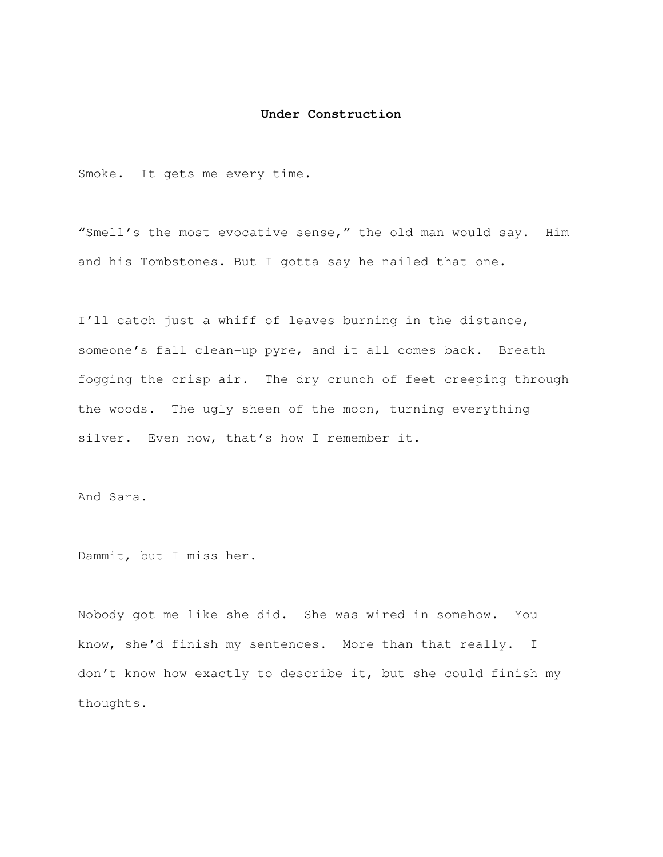## **Under Construction**

Smoke. It gets me every time.

"Smell's the most evocative sense," the old man would say. Him and his Tombstones. But I gotta say he nailed that one.

I'll catch just a whiff of leaves burning in the distance, someone's fall clean-up pyre, and it all comes back. Breath fogging the crisp air. The dry crunch of feet creeping through the woods. The ugly sheen of the moon, turning everything silver. Even now, that's how I remember it.

And Sara.

Dammit, but I miss her.

Nobody got me like she did. She was wired in somehow. You know, she'd finish my sentences. More than that really. I don't know how exactly to describe it, but she could finish my thoughts.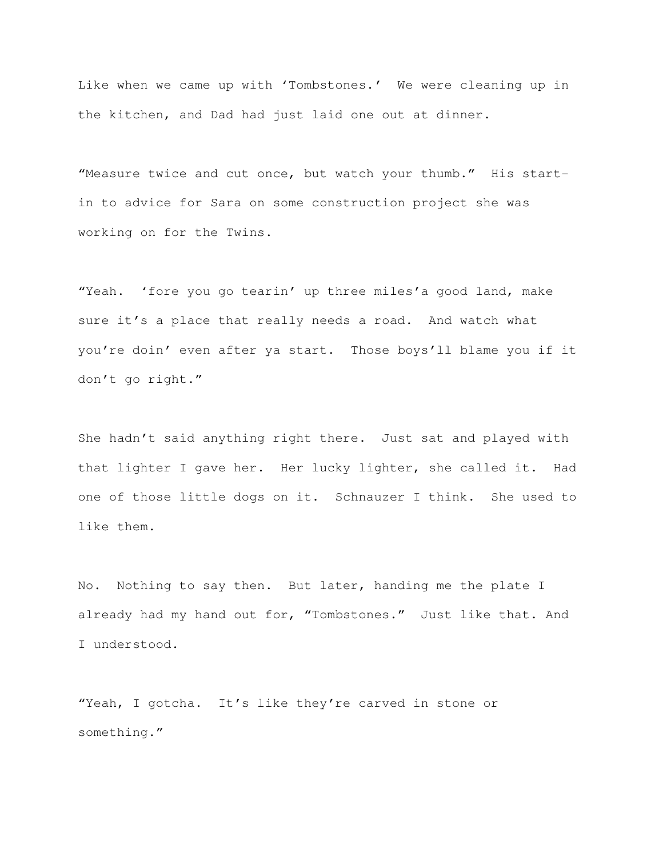Like when we came up with 'Tombstones.' We were cleaning up in the kitchen, and Dad had just laid one out at dinner.

"Measure twice and cut once, but watch your thumb." His startin to advice for Sara on some construction project she was working on for the Twins.

"Yeah. 'fore you go tearin' up three miles'a good land, make sure it's a place that really needs a road. And watch what you're doin' even after ya start. Those boys'll blame you if it don't go right."

She hadn't said anything right there. Just sat and played with that lighter I gave her. Her lucky lighter, she called it. Had one of those little dogs on it. Schnauzer I think. She used to like them.

No. Nothing to say then. But later, handing me the plate I already had my hand out for, "Tombstones." Just like that. And I understood.

"Yeah, I gotcha. It's like they're carved in stone or something."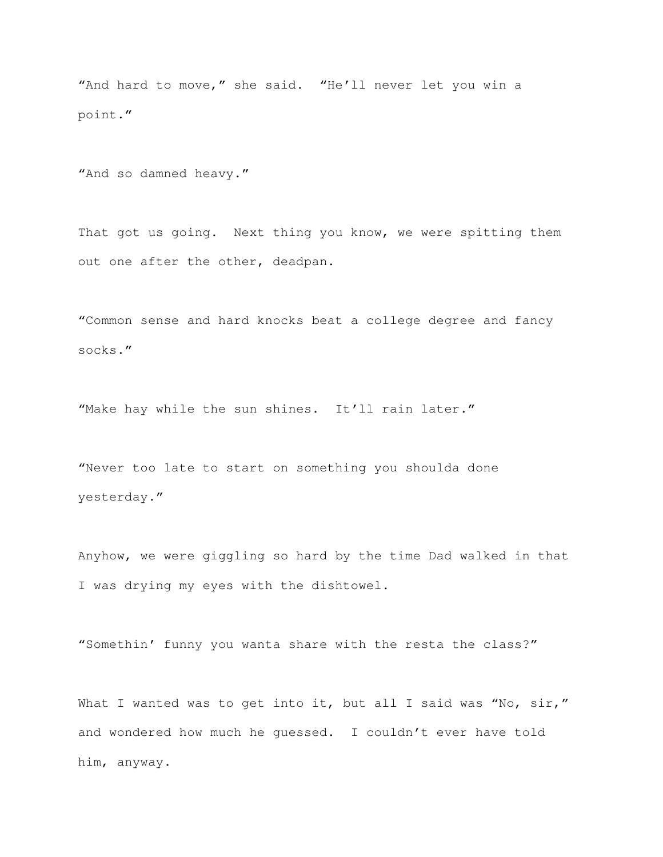"And hard to move," she said. "He'll never let you win a point."

"And so damned heavy."

That got us going. Next thing you know, we were spitting them out one after the other, deadpan.

"Common sense and hard knocks beat a college degree and fancy socks."

"Make hay while the sun shines. It'll rain later."

"Never too late to start on something you shoulda done yesterday."

Anyhow, we were giggling so hard by the time Dad walked in that I was drying my eyes with the dishtowel.

"Somethin' funny you wanta share with the resta the class?"

What I wanted was to get into it, but all I said was "No, sir," and wondered how much he guessed. I couldn't ever have told him, anyway.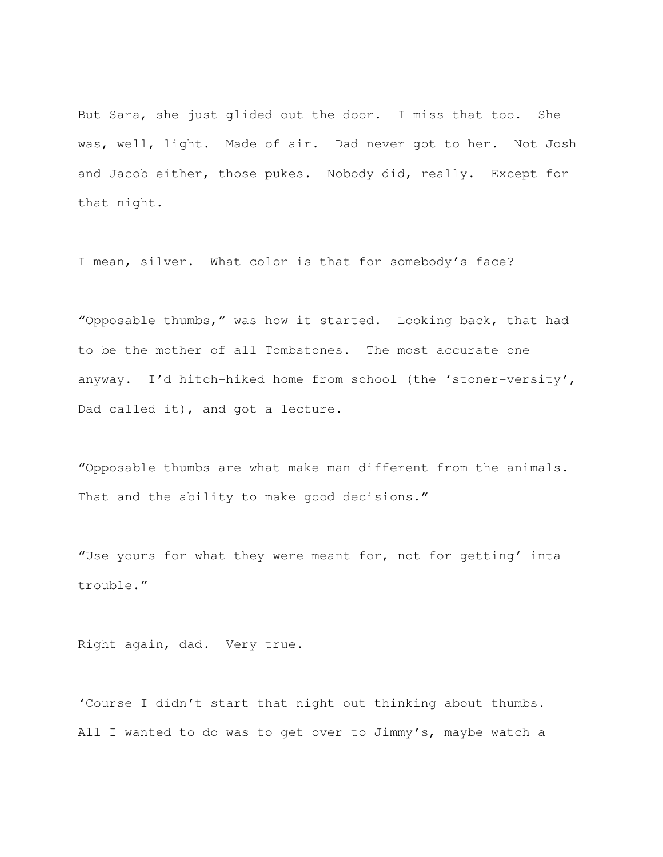But Sara, she just glided out the door. I miss that too. She was, well, light. Made of air. Dad never got to her. Not Josh and Jacob either, those pukes. Nobody did, really. Except for that night.

I mean, silver. What color is that for somebody's face?

"Opposable thumbs," was how it started. Looking back, that had to be the mother of all Tombstones. The most accurate one anyway. I'd hitch-hiked home from school (the 'stoner-versity', Dad called it), and got a lecture.

"Opposable thumbs are what make man different from the animals. That and the ability to make good decisions."

"Use yours for what they were meant for, not for getting' inta trouble."

Right again, dad. Very true.

'Course I didn't start that night out thinking about thumbs. All I wanted to do was to get over to Jimmy's, maybe watch a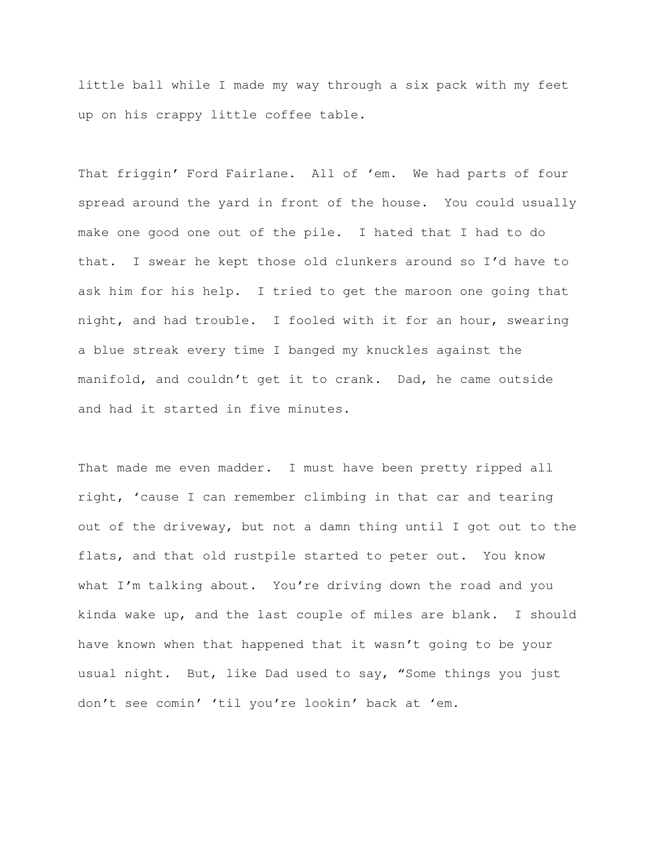little ball while I made my way through a six pack with my feet up on his crappy little coffee table.

That friggin' Ford Fairlane. All of 'em. We had parts of four spread around the yard in front of the house. You could usually make one good one out of the pile. I hated that I had to do that. I swear he kept those old clunkers around so I'd have to ask him for his help. I tried to get the maroon one going that night, and had trouble. I fooled with it for an hour, swearing a blue streak every time I banged my knuckles against the manifold, and couldn't get it to crank. Dad, he came outside and had it started in five minutes.

That made me even madder. I must have been pretty ripped all right, 'cause I can remember climbing in that car and tearing out of the driveway, but not a damn thing until I got out to the flats, and that old rustpile started to peter out. You know what I'm talking about. You're driving down the road and you kinda wake up, and the last couple of miles are blank. I should have known when that happened that it wasn't going to be your usual night. But, like Dad used to say, "Some things you just don't see comin' 'til you're lookin' back at 'em.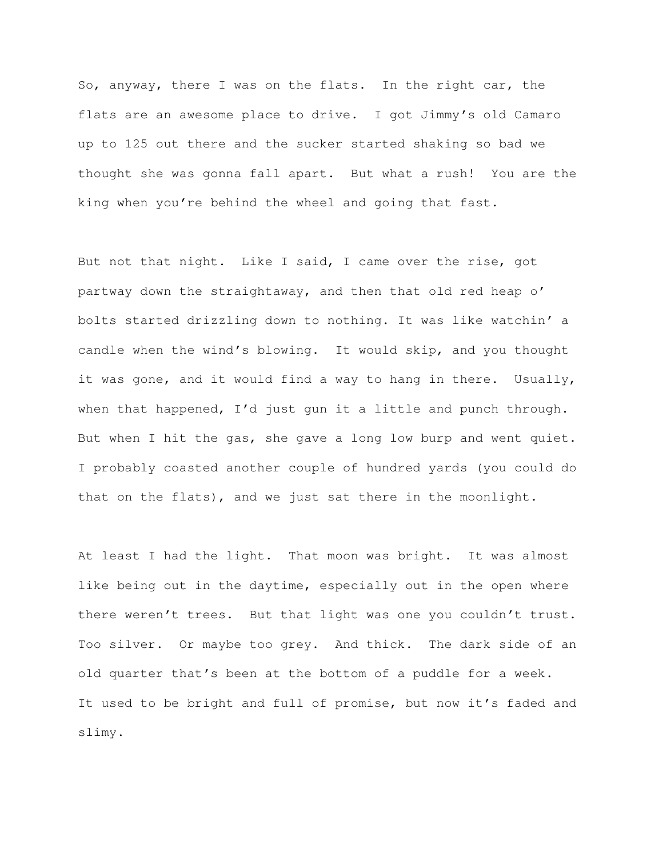So, anyway, there I was on the flats. In the right car, the flats are an awesome place to drive. I got Jimmy's old Camaro up to 125 out there and the sucker started shaking so bad we thought she was gonna fall apart. But what a rush! You are the king when you're behind the wheel and going that fast.

But not that night. Like I said, I came over the rise, got partway down the straightaway, and then that old red heap o' bolts started drizzling down to nothing. It was like watchin' a candle when the wind's blowing. It would skip, and you thought it was gone, and it would find a way to hang in there. Usually, when that happened, I'd just gun it a little and punch through. But when I hit the gas, she gave a long low burp and went quiet. I probably coasted another couple of hundred yards (you could do that on the flats), and we just sat there in the moonlight.

At least I had the light. That moon was bright. It was almost like being out in the daytime, especially out in the open where there weren't trees. But that light was one you couldn't trust. Too silver. Or maybe too grey. And thick. The dark side of an old quarter that's been at the bottom of a puddle for a week. It used to be bright and full of promise, but now it's faded and slimy.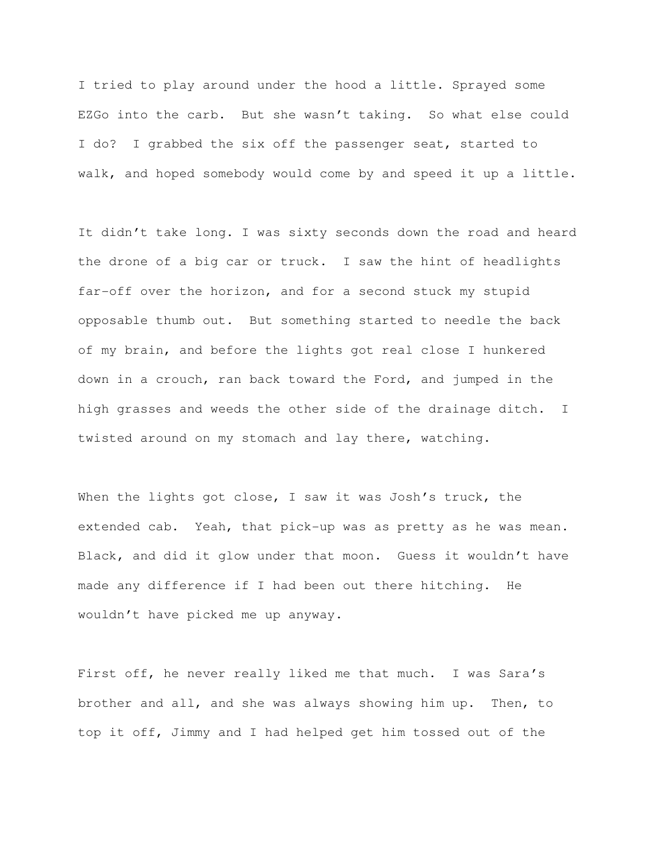I tried to play around under the hood a little. Sprayed some EZGo into the carb. But she wasn't taking. So what else could I do? I grabbed the six off the passenger seat, started to walk, and hoped somebody would come by and speed it up a little.

It didn't take long. I was sixty seconds down the road and heard the drone of a big car or truck. I saw the hint of headlights far-off over the horizon, and for a second stuck my stupid opposable thumb out. But something started to needle the back of my brain, and before the lights got real close I hunkered down in a crouch, ran back toward the Ford, and jumped in the high grasses and weeds the other side of the drainage ditch. I twisted around on my stomach and lay there, watching.

When the lights got close, I saw it was Josh's truck, the extended cab. Yeah, that pick-up was as pretty as he was mean. Black, and did it glow under that moon. Guess it wouldn't have made any difference if I had been out there hitching. He wouldn't have picked me up anyway.

First off, he never really liked me that much. I was Sara's brother and all, and she was always showing him up. Then, to top it off, Jimmy and I had helped get him tossed out of the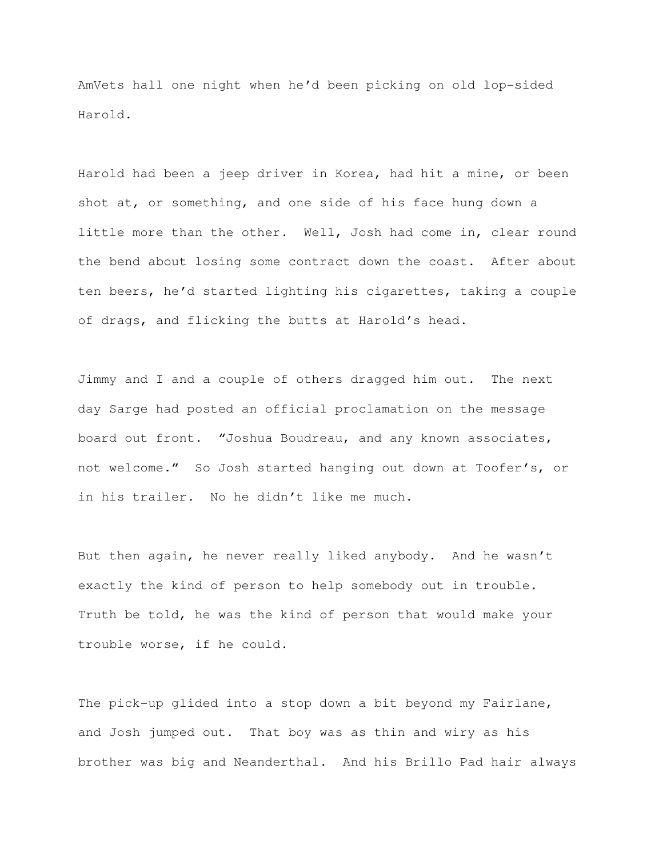AmVets hall one night when he'd been picking on old lop-sided Harold.

Harold had been a jeep driver in Korea, had hit a mine, or been shot at, or something, and one side of his face hung down a little more than the other. Well, Josh had come in, clear round the bend about losing some contract down the coast. After about ten beers, he'd started lighting his cigarettes, taking a couple of drags, and flicking the butts at Harold's head.

Jimmy and I and a couple of others dragged him out. The next day Sarge had posted an official proclamation on the message board out front. "Joshua Boudreau, and any known associates, not welcome." So Josh started hanging out down at Toofer's, or in his trailer. No he didn't like me much.

But then again, he never really liked anybody. And he wasn't exactly the kind of person to help somebody out in trouble. Truth be told, he was the kind of person that would make your trouble worse, if he could.

The pick-up glided into a stop down a bit beyond my Fairlane, and Josh jumped out. That boy was as thin and wiry as his brother was big and Neanderthal. And his Brillo Pad hair always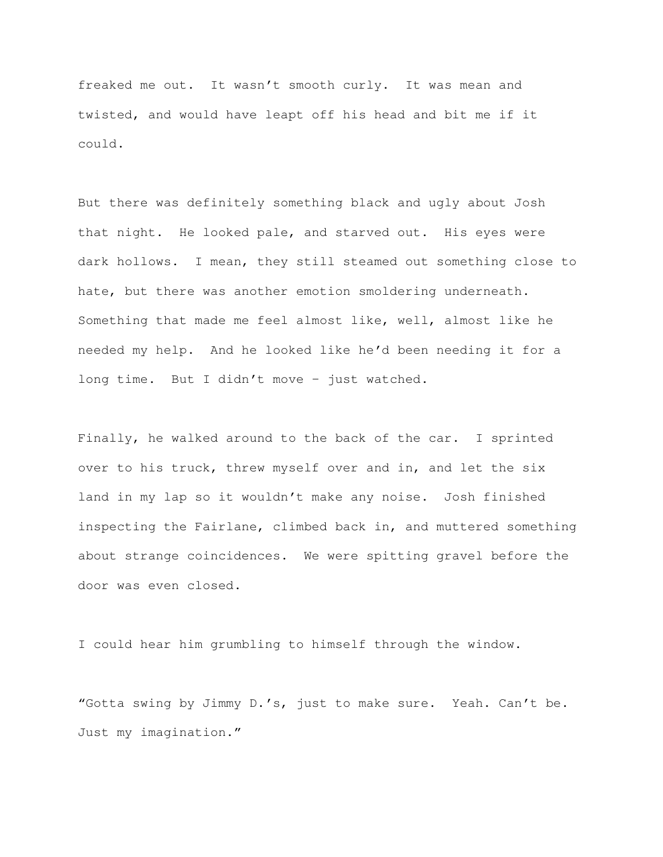freaked me out. It wasn't smooth curly. It was mean and twisted, and would have leapt off his head and bit me if it could.

But there was definitely something black and ugly about Josh that night. He looked pale, and starved out. His eyes were dark hollows. I mean, they still steamed out something close to hate, but there was another emotion smoldering underneath. Something that made me feel almost like, well, almost like he needed my help. And he looked like he'd been needing it for a long time. But I didn't move – just watched.

Finally, he walked around to the back of the car. I sprinted over to his truck, threw myself over and in, and let the six land in my lap so it wouldn't make any noise. Josh finished inspecting the Fairlane, climbed back in, and muttered something about strange coincidences. We were spitting gravel before the door was even closed.

I could hear him grumbling to himself through the window.

"Gotta swing by Jimmy D.'s, just to make sure. Yeah. Can't be. Just my imagination."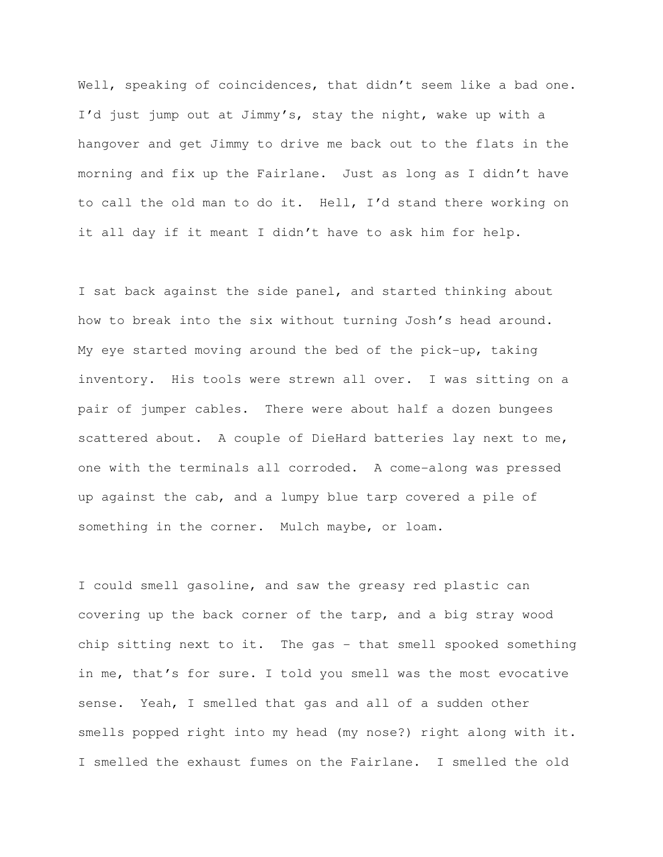Well, speaking of coincidences, that didn't seem like a bad one. I'd just jump out at Jimmy's, stay the night, wake up with a hangover and get Jimmy to drive me back out to the flats in the morning and fix up the Fairlane. Just as long as I didn't have to call the old man to do it. Hell, I'd stand there working on it all day if it meant I didn't have to ask him for help.

I sat back against the side panel, and started thinking about how to break into the six without turning Josh's head around. My eye started moving around the bed of the pick-up, taking inventory. His tools were strewn all over. I was sitting on a pair of jumper cables. There were about half a dozen bungees scattered about. A couple of DieHard batteries lay next to me, one with the terminals all corroded. A come-along was pressed up against the cab, and a lumpy blue tarp covered a pile of something in the corner. Mulch maybe, or loam.

I could smell gasoline, and saw the greasy red plastic can covering up the back corner of the tarp, and a big stray wood chip sitting next to it. The gas - that smell spooked something in me, that's for sure. I told you smell was the most evocative sense. Yeah, I smelled that gas and all of a sudden other smells popped right into my head (my nose?) right along with it. I smelled the exhaust fumes on the Fairlane. I smelled the old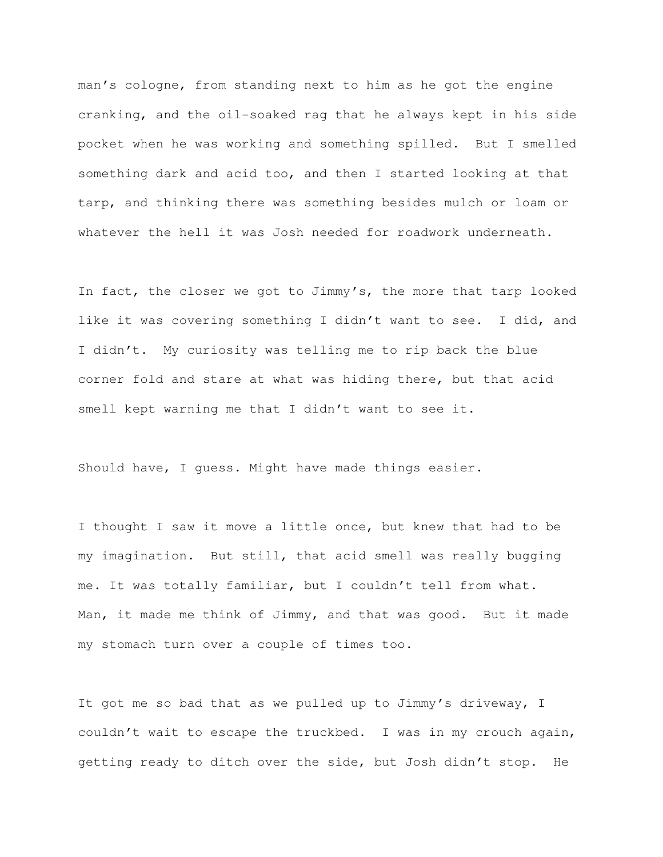man's cologne, from standing next to him as he got the engine cranking, and the oil-soaked rag that he always kept in his side pocket when he was working and something spilled. But I smelled something dark and acid too, and then I started looking at that tarp, and thinking there was something besides mulch or loam or whatever the hell it was Josh needed for roadwork underneath.

In fact, the closer we got to Jimmy's, the more that tarp looked like it was covering something I didn't want to see. I did, and I didn't. My curiosity was telling me to rip back the blue corner fold and stare at what was hiding there, but that acid smell kept warning me that I didn't want to see it.

Should have, I guess. Might have made things easier.

I thought I saw it move a little once, but knew that had to be my imagination. But still, that acid smell was really bugging me. It was totally familiar, but I couldn't tell from what. Man, it made me think of Jimmy, and that was good. But it made my stomach turn over a couple of times too.

It got me so bad that as we pulled up to Jimmy's driveway, I couldn't wait to escape the truckbed. I was in my crouch again, getting ready to ditch over the side, but Josh didn't stop. He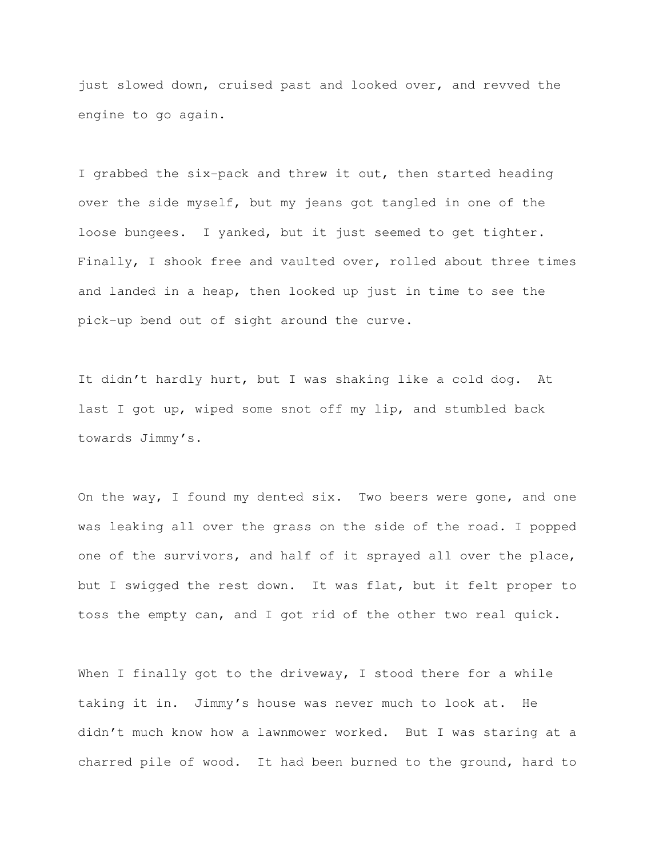just slowed down, cruised past and looked over, and revved the engine to go again.

I grabbed the six-pack and threw it out, then started heading over the side myself, but my jeans got tangled in one of the loose bungees. I yanked, but it just seemed to get tighter. Finally, I shook free and vaulted over, rolled about three times and landed in a heap, then looked up just in time to see the pick-up bend out of sight around the curve.

It didn't hardly hurt, but I was shaking like a cold dog. At last I got up, wiped some snot off my lip, and stumbled back towards Jimmy's.

On the way, I found my dented six. Two beers were gone, and one was leaking all over the grass on the side of the road. I popped one of the survivors, and half of it sprayed all over the place, but I swigged the rest down. It was flat, but it felt proper to toss the empty can, and I got rid of the other two real quick.

When I finally got to the driveway, I stood there for a while taking it in. Jimmy's house was never much to look at. He didn't much know how a lawnmower worked. But I was staring at a charred pile of wood. It had been burned to the ground, hard to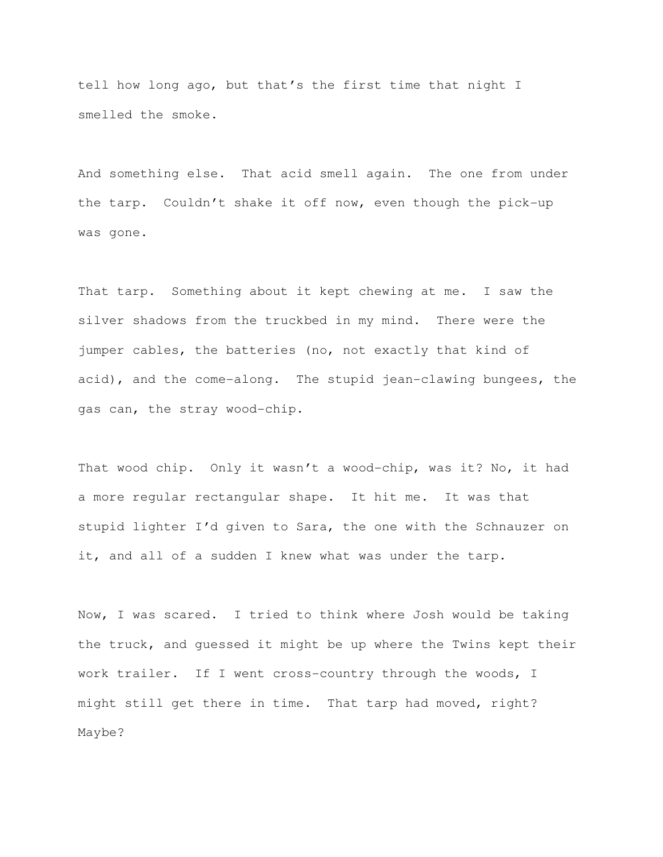tell how long ago, but that's the first time that night I smelled the smoke.

And something else. That acid smell again. The one from under the tarp. Couldn't shake it off now, even though the pick-up was gone.

That tarp. Something about it kept chewing at me. I saw the silver shadows from the truckbed in my mind. There were the jumper cables, the batteries (no, not exactly that kind of acid), and the come-along. The stupid jean-clawing bungees, the gas can, the stray wood-chip.

That wood chip. Only it wasn't a wood-chip, was it? No, it had a more regular rectangular shape. It hit me. It was that stupid lighter I'd given to Sara, the one with the Schnauzer on it, and all of a sudden I knew what was under the tarp.

Now, I was scared. I tried to think where Josh would be taking the truck, and guessed it might be up where the Twins kept their work trailer. If I went cross-country through the woods, I might still get there in time. That tarp had moved, right? Maybe?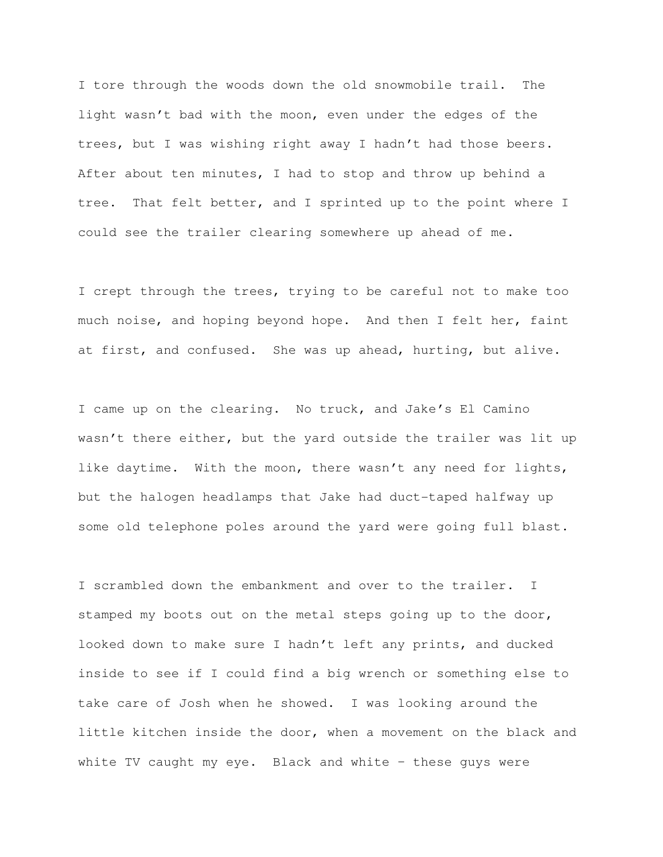I tore through the woods down the old snowmobile trail. The light wasn't bad with the moon, even under the edges of the trees, but I was wishing right away I hadn't had those beers. After about ten minutes, I had to stop and throw up behind a tree. That felt better, and I sprinted up to the point where I could see the trailer clearing somewhere up ahead of me.

I crept through the trees, trying to be careful not to make too much noise, and hoping beyond hope. And then I felt her, faint at first, and confused. She was up ahead, hurting, but alive.

I came up on the clearing. No truck, and Jake's El Camino wasn't there either, but the yard outside the trailer was lit up like daytime. With the moon, there wasn't any need for lights, but the halogen headlamps that Jake had duct-taped halfway up some old telephone poles around the yard were going full blast.

I scrambled down the embankment and over to the trailer. I stamped my boots out on the metal steps going up to the door, looked down to make sure I hadn't left any prints, and ducked inside to see if I could find a big wrench or something else to take care of Josh when he showed. I was looking around the little kitchen inside the door, when a movement on the black and white TV caught my eye. Black and white – these guys were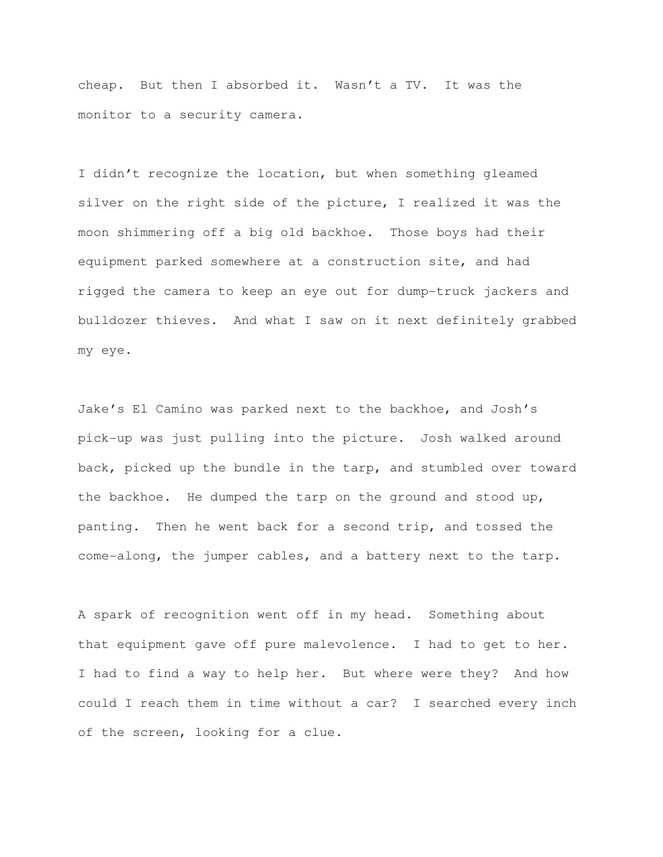cheap. But then I absorbed it. Wasn't a TV. It was the monitor to a security camera.

I didn't recognize the location, but when something gleamed silver on the right side of the picture, I realized it was the moon shimmering off a big old backhoe. Those boys had their equipment parked somewhere at a construction site, and had rigged the camera to keep an eye out for dump-truck jackers and bulldozer thieves. And what I saw on it next definitely grabbed my eye.

Jake's El Camino was parked next to the backhoe, and Josh's pick-up was just pulling into the picture. Josh walked around back, picked up the bundle in the tarp, and stumbled over toward the backhoe. He dumped the tarp on the ground and stood up, panting. Then he went back for a second trip, and tossed the come-along, the jumper cables, and a battery next to the tarp.

A spark of recognition went off in my head. Something about that equipment gave off pure malevolence. I had to get to her. I had to find a way to help her. But where were they? And how could I reach them in time without a car? I searched every inch of the screen, looking for a clue.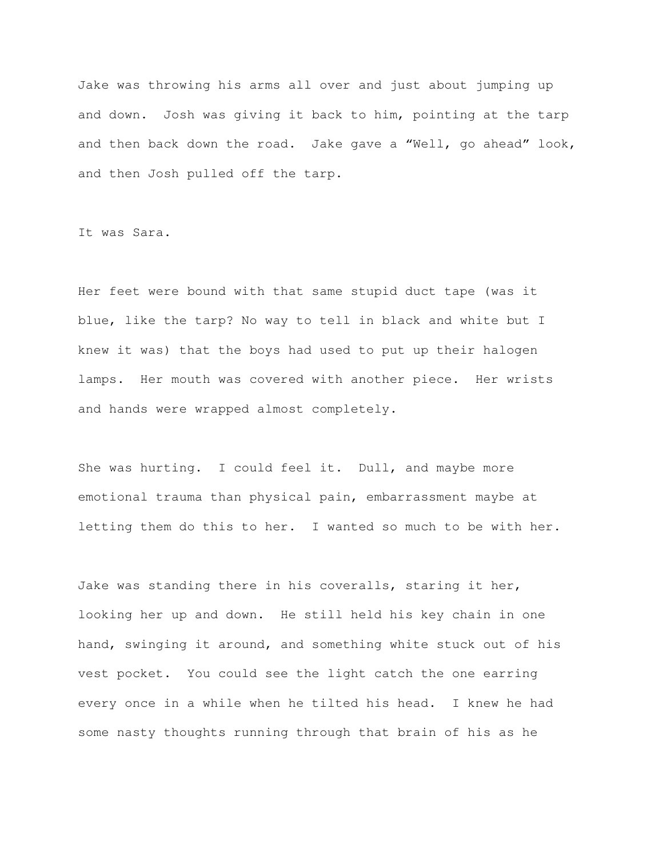Jake was throwing his arms all over and just about jumping up and down. Josh was giving it back to him, pointing at the tarp and then back down the road. Jake gave a "Well, go ahead" look, and then Josh pulled off the tarp.

It was Sara.

Her feet were bound with that same stupid duct tape (was it blue, like the tarp? No way to tell in black and white but I knew it was) that the boys had used to put up their halogen lamps. Her mouth was covered with another piece. Her wrists and hands were wrapped almost completely.

She was hurting. I could feel it. Dull, and maybe more emotional trauma than physical pain, embarrassment maybe at letting them do this to her. I wanted so much to be with her.

Jake was standing there in his coveralls, staring it her, looking her up and down. He still held his key chain in one hand, swinging it around, and something white stuck out of his vest pocket. You could see the light catch the one earring every once in a while when he tilted his head. I knew he had some nasty thoughts running through that brain of his as he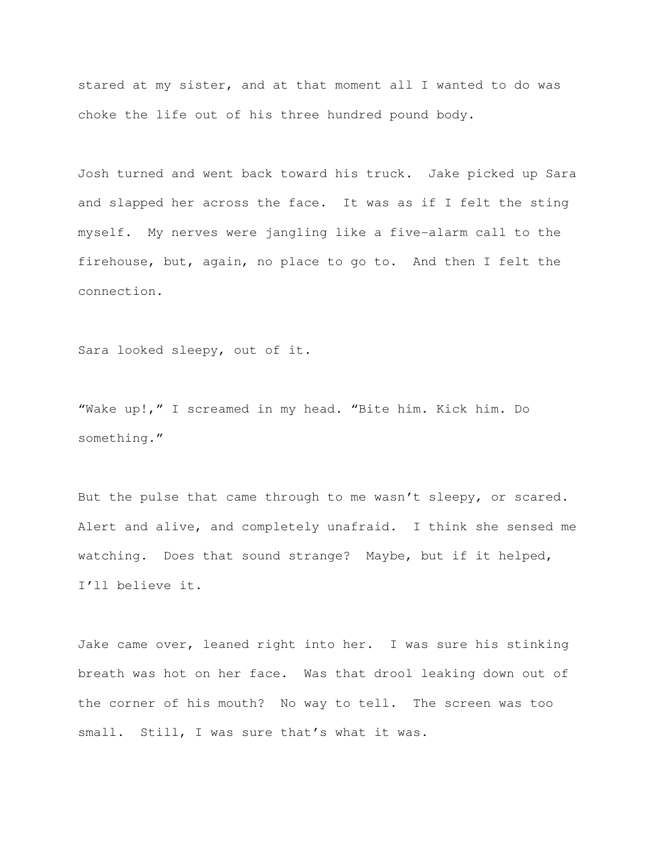stared at my sister, and at that moment all I wanted to do was choke the life out of his three hundred pound body.

Josh turned and went back toward his truck. Jake picked up Sara and slapped her across the face. It was as if I felt the sting myself. My nerves were jangling like a five-alarm call to the firehouse, but, again, no place to go to. And then I felt the connection.

Sara looked sleepy, out of it.

"Wake up!," I screamed in my head. "Bite him. Kick him. Do something."

But the pulse that came through to me wasn't sleepy, or scared. Alert and alive, and completely unafraid. I think she sensed me watching. Does that sound strange? Maybe, but if it helped, I'll believe it.

Jake came over, leaned right into her. I was sure his stinking breath was hot on her face. Was that drool leaking down out of the corner of his mouth? No way to tell. The screen was too small. Still, I was sure that's what it was.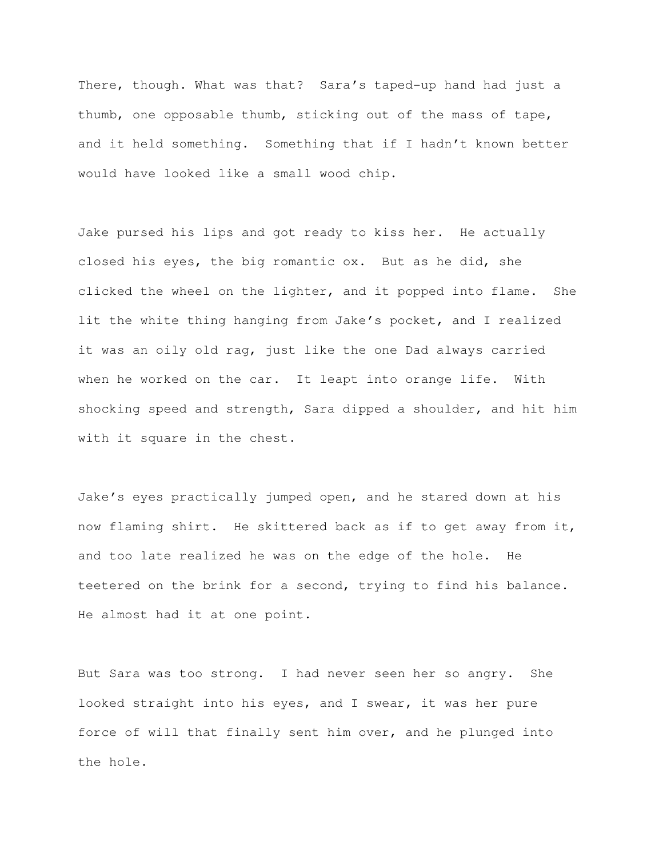There, though. What was that? Sara's taped-up hand had just a thumb, one opposable thumb, sticking out of the mass of tape, and it held something. Something that if I hadn't known better would have looked like a small wood chip.

Jake pursed his lips and got ready to kiss her. He actually closed his eyes, the big romantic ox. But as he did, she clicked the wheel on the lighter, and it popped into flame. She lit the white thing hanging from Jake's pocket, and I realized it was an oily old rag, just like the one Dad always carried when he worked on the car. It leapt into orange life. With shocking speed and strength, Sara dipped a shoulder, and hit him with it square in the chest.

Jake's eyes practically jumped open, and he stared down at his now flaming shirt. He skittered back as if to get away from it, and too late realized he was on the edge of the hole. He teetered on the brink for a second, trying to find his balance. He almost had it at one point.

But Sara was too strong. I had never seen her so angry. She looked straight into his eyes, and I swear, it was her pure force of will that finally sent him over, and he plunged into the hole.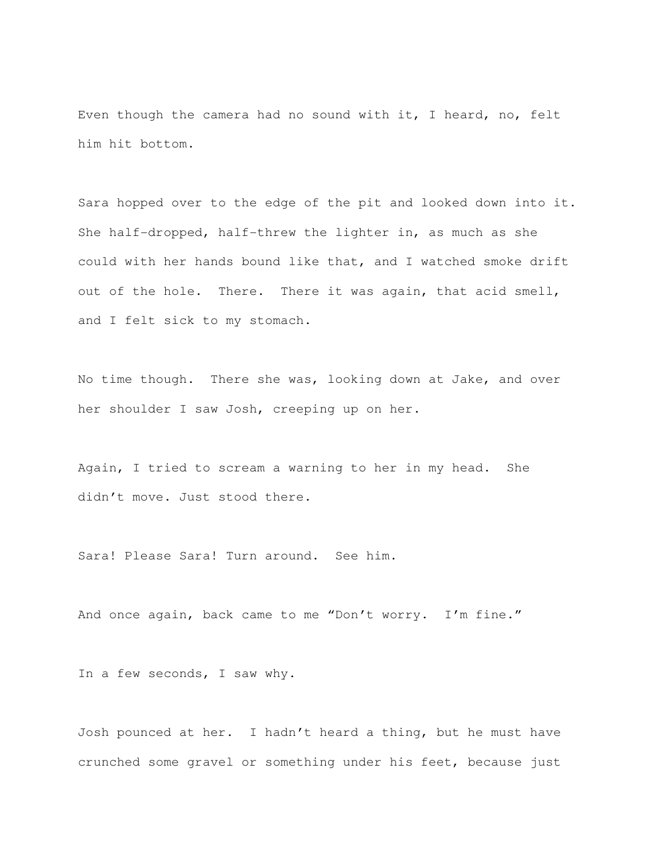Even though the camera had no sound with it, I heard, no, felt him hit bottom.

Sara hopped over to the edge of the pit and looked down into it. She half-dropped, half-threw the lighter in, as much as she could with her hands bound like that, and I watched smoke drift out of the hole. There. There it was again, that acid smell, and I felt sick to my stomach.

No time though. There she was, looking down at Jake, and over her shoulder I saw Josh, creeping up on her.

Again, I tried to scream a warning to her in my head. She didn't move. Just stood there.

Sara! Please Sara! Turn around. See him.

And once again, back came to me "Don't worry. I'm fine."

In a few seconds, I saw why.

Josh pounced at her. I hadn't heard a thing, but he must have crunched some gravel or something under his feet, because just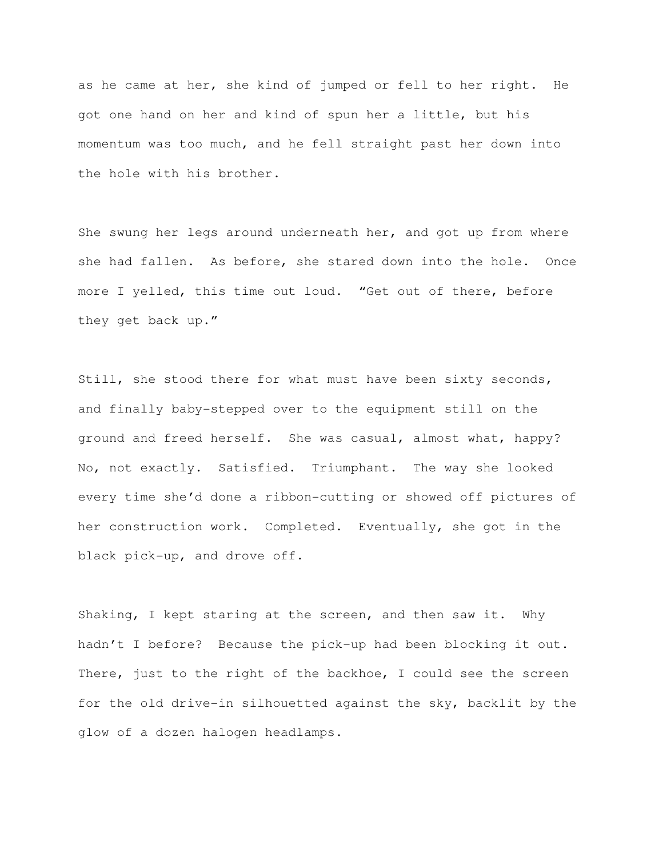as he came at her, she kind of jumped or fell to her right. He got one hand on her and kind of spun her a little, but his momentum was too much, and he fell straight past her down into the hole with his brother.

She swung her legs around underneath her, and got up from where she had fallen. As before, she stared down into the hole. Once more I yelled, this time out loud. "Get out of there, before they get back up."

Still, she stood there for what must have been sixty seconds, and finally baby-stepped over to the equipment still on the ground and freed herself. She was casual, almost what, happy? No, not exactly. Satisfied. Triumphant. The way she looked every time she'd done a ribbon-cutting or showed off pictures of her construction work. Completed. Eventually, she got in the black pick-up, and drove off.

Shaking, I kept staring at the screen, and then saw it. Why hadn't I before? Because the pick-up had been blocking it out. There, just to the right of the backhoe, I could see the screen for the old drive-in silhouetted against the sky, backlit by the glow of a dozen halogen headlamps.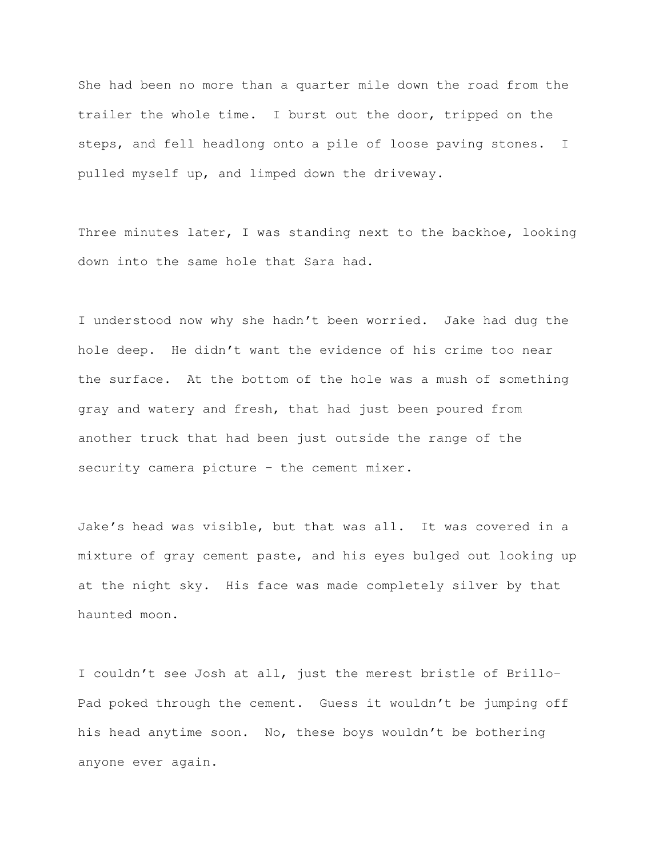She had been no more than a quarter mile down the road from the trailer the whole time. I burst out the door, tripped on the steps, and fell headlong onto a pile of loose paving stones. I pulled myself up, and limped down the driveway.

Three minutes later, I was standing next to the backhoe, looking down into the same hole that Sara had.

I understood now why she hadn't been worried. Jake had dug the hole deep. He didn't want the evidence of his crime too near the surface. At the bottom of the hole was a mush of something gray and watery and fresh, that had just been poured from another truck that had been just outside the range of the security camera picture – the cement mixer.

Jake's head was visible, but that was all. It was covered in a mixture of gray cement paste, and his eyes bulged out looking up at the night sky. His face was made completely silver by that haunted moon.

I couldn't see Josh at all, just the merest bristle of Brillo-Pad poked through the cement. Guess it wouldn't be jumping off his head anytime soon. No, these boys wouldn't be bothering anyone ever again.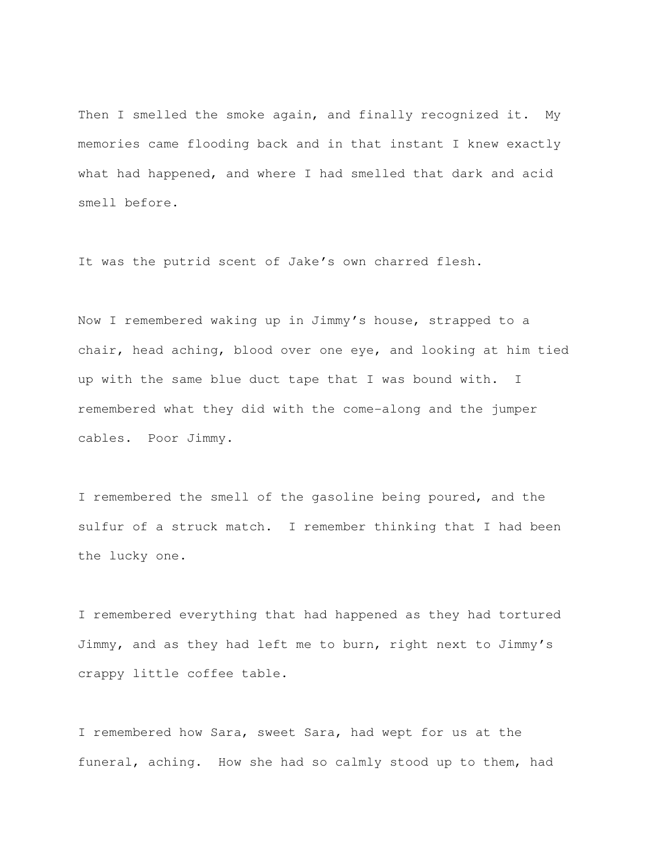Then I smelled the smoke again, and finally recognized it. My memories came flooding back and in that instant I knew exactly what had happened, and where I had smelled that dark and acid smell before.

It was the putrid scent of Jake's own charred flesh.

Now I remembered waking up in Jimmy's house, strapped to a chair, head aching, blood over one eye, and looking at him tied up with the same blue duct tape that I was bound with. I remembered what they did with the come-along and the jumper cables. Poor Jimmy.

I remembered the smell of the gasoline being poured, and the sulfur of a struck match. I remember thinking that I had been the lucky one.

I remembered everything that had happened as they had tortured Jimmy, and as they had left me to burn, right next to Jimmy's crappy little coffee table.

I remembered how Sara, sweet Sara, had wept for us at the funeral, aching. How she had so calmly stood up to them, had